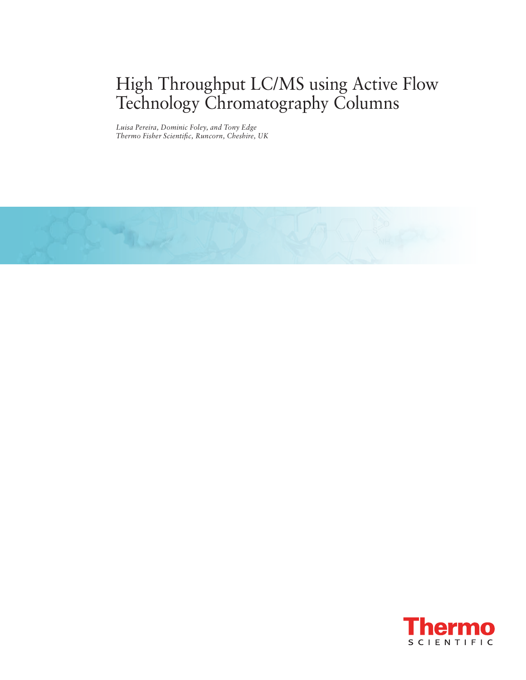# High Throughput LC/MS using Active Flow Technology Chromatography Columns

*Luisa Pereira, Dominic Foley, and Tony Edge Thermo Fisher Scientific, Runcorn, Cheshire, UK*



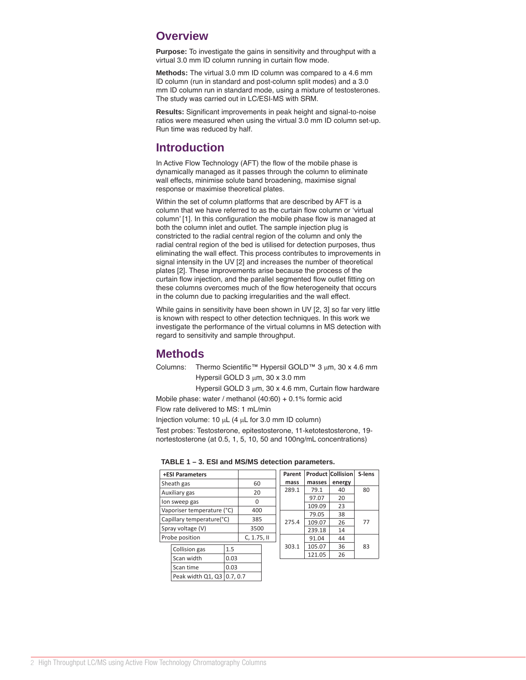### **Overview**

**Purpose:** To investigate the gains in sensitivity and throughput with a virtual 3.0 mm ID column running in curtain flow mode.

**Methods:** The virtual 3.0 mm ID column was compared to a 4.6 mm ID column (run in standard and post -column split modes) and a 3.0 mm ID column run in standard mode, using a mixture of testosterones. The study was carried out in LC/ESI -MS with SRM.

**Results:** Significant improvements in peak height and signal-to-noise ratios were measured when using the virtual 3.0 mm ID column set -up. Run time was reduced by half.

### **Introduction**

In Active Flow Technology (AFT) the flow of the mobile phase is dynamically managed as it passes through the column to eliminate wall effects, minimise solute band broadening, maximise signal response or maximise theoretical plates.

Within the set of column platforms that are described by AFT is a column that we have referred to as the curtain flow column or ʻvirtual column' [1]. In this configuration the mobile phase flow is managed at both the column inlet and outlet. The sample injection plug is constricted to the radial central region of the column and only the radial central region of the bed is utilised for detection purposes, thus eliminating the wall effect. This process contributes to improvements in signal intensity in the UV [2] and increases the number of theoretical plates [2]. These improvements arise because the process of the curtain flow injection, and the parallel segmented flow outlet fitting on these columns overcomes much of the flow heterogeneity that occurs in the column due to packing irregularities and the wall effect.

While gains in sensitivity have been shown in UV [2, 3] so far very little is known with respect to other detection techniques. In this work we investigate the performance of the virtual columns in MS detection with regard to sensitivity and sample throughput.

### **Methods**

Columns: Thermo Scientific™ Hypersil GOLD™ 3 µm, 30 x 4.6 mm Hypersil GOLD 3 µm, 30 x 3.0 mm

Hypersil GOLD 3 µm, 30 x 4.6 mm, Curtain flow hardware Mobile phase: water / methanol (40:60) + 0.1% formic acid

Flow rate delivered to MS: 1 mL/min

Injection volume: 10 µL (4 µL for 3.0 mm ID column)

Test probes: Testosterone, epitestosterone, 11 -ketotestosterone, 19 nortestosterone (at 0.5, 1, 5, 10, 50 and 100ng/mL concentrations)

| TABLE 1 - 3. ESI and MS/MS detection parameters. |  |  |  |  |
|--------------------------------------------------|--|--|--|--|
|--------------------------------------------------|--|--|--|--|

|                            | <b>+ESI Parameters</b> |          |            |       | Parent |        | <b>Product Collision</b> | S-lens |
|----------------------------|------------------------|----------|------------|-------|--------|--------|--------------------------|--------|
|                            | Sheath gas             |          | 60         |       | mass   | masses | energy                   |        |
| Auxiliary gas              |                        | 20       |            | 289.1 | 79.1   | 40     | 80                       |        |
| lon sweep gas              |                        | $\Omega$ |            |       | 97.07  | 20     |                          |        |
|                            |                        |          |            |       |        | 109.09 | 23                       |        |
| Vaporiser temperature (°C) |                        | 400      |            | 275.4 | 79.05  | 38     | 77                       |        |
| Capillary temperature(°C)  |                        | 385      |            |       | 109.07 | 26     |                          |        |
| Spray voltage (V)          |                        | 3500     |            |       | 239.18 | 14     |                          |        |
|                            | Probe position         |          | C, 1.75, H |       |        | 91.04  | 44                       |        |
|                            | Collision gas          | 1.5      |            |       | 303.1  | 105.07 | 36                       | 83     |
|                            |                        |          |            |       |        | 121.05 | 26                       |        |
|                            | Scan width             | 0.03     |            |       |        |        |                          |        |
|                            | Scan time              | 0.03     |            |       |        |        |                          |        |
|                            | Peak width Q1, Q3      | 0.7.0.7  |            |       |        |        |                          |        |

╩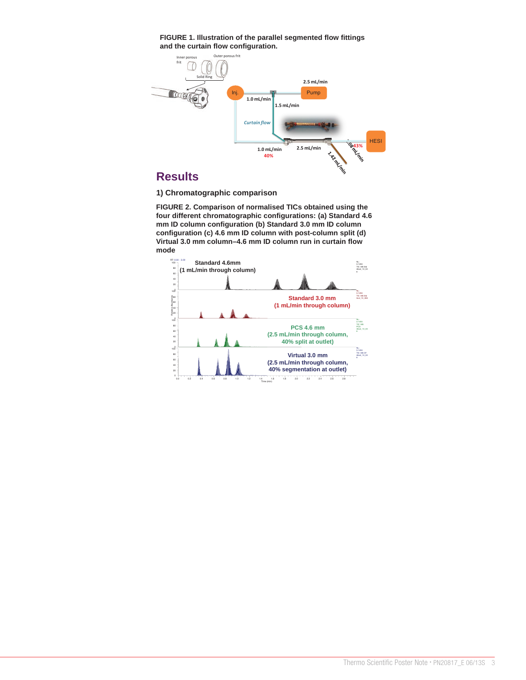**FIGURE 1. Illustration of the parallel segmented flow fittings and the curtain flow configuration.**



**1) Chromatographic comparison**

**FIGURE 2. Comparison of normalised TICs obtained using the four different chromatographic configurations: (a) Standard 4.6 mm ID column configuration (b) Standard 3.0 mm ID column configuration (c) 4.6 mm ID column with post-column split (d) Virtual 3.0 mm column–4.6 mm ID column run in curtain flow mode**

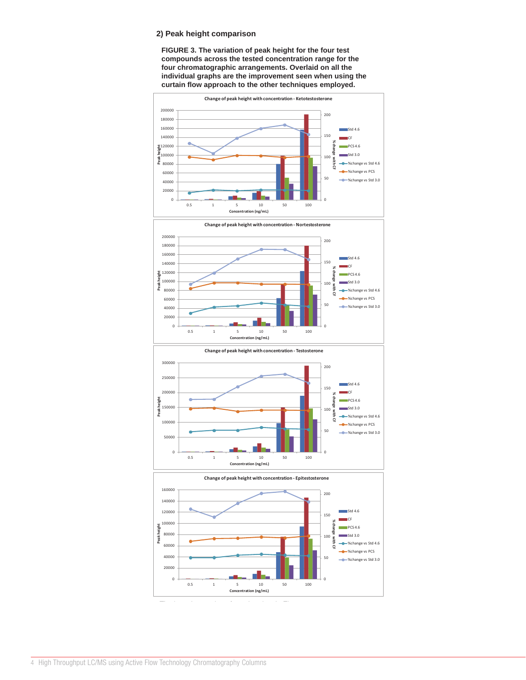### **2) Peak height comparison**

**FIGURE 3. The variation of peak height for the four test compounds across the tested concentration range for the four chromatographic arrangements. Overlaid on all the individual graphs are the improvement seen when using the curtain flow approach to the other techniques employed.**



 $R_{\rm eff}$  reduced by half (versus  $\sim$   $R_{\rm eff}$  ) and (versus  $\sim$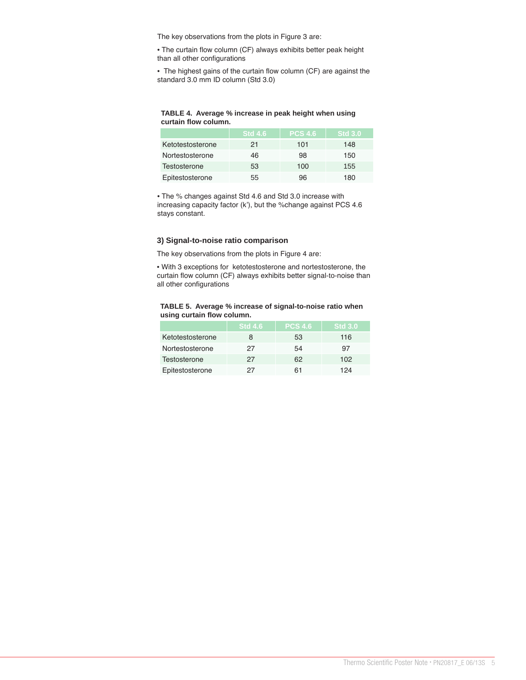The key observations from the plots in Figure 3 are:

• The curtain flow column (CF) always exhibits better peak height than all other configurations

• The highest gains of the curtain flow column (CF) are against the standard 3.0 mm ID column (Std 3.0)

#### **TABLE 4. Average % increase in peak height when using curtain flow column.**

|                  | $\overline{\phantom{a}}$ Std 4.6 | <b>PCS 4.6</b> | <b>Std 3.0</b> |
|------------------|----------------------------------|----------------|----------------|
| Ketotestosterone | 21                               | 101            | 148            |
| Nortestosterone  | 46                               | 98             | 150            |
| Testosterone     | 53                               | 100            | 155            |
| Epitestosterone  | 55                               | 96             | 180            |

• The % changes against Std 4.6 and Std 3.0 increase with increasing capacity factor (k'), but the %change against PCS 4.6 stays constant.

#### **3) Signal-to-noise ratio comparison**

The key observations from the plots in Figure 4 are:

• With 3 exceptions for ketotestosterone and nortestosterone, the curtain flow column (CF) always exhibits better signal-to-noise than all other configurations

#### **TABLE 5. Average % increase of signal-to-noise ratio when using curtain flow column.**

|                  | <b>Std 4.6</b> | <b>PCS 4.6</b> | <b>Std 3.0</b> |
|------------------|----------------|----------------|----------------|
| Ketotestosterone | 8              | 53             | 116            |
| Nortestosterone  | 27             | 54             | 97             |
| Testosterone     | 27             | 62             | 102            |
| Epitestosterone  | 27             | 61             | 124            |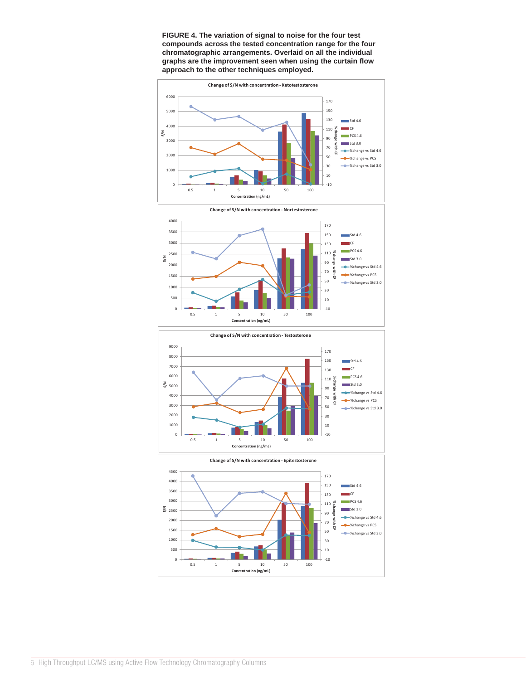

**FIGURE 4. The variation of signal to noise for the four test compounds across the tested concentration range for the four chromatographic arrangements. Overlaid on all the individual graphs are the improvement seen when using the curtain flow approach to the other techniques employed.**